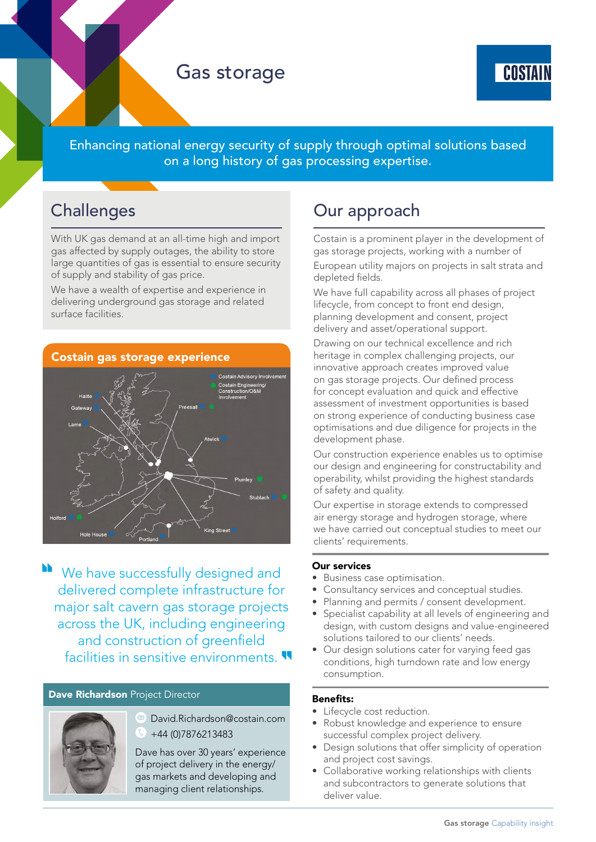# Gas storage

# COSTAIN

Enhancing national energy security of supply through optimal solutions based on a long history of gas processing expertise.

### **Challenges**

With UK gas demand at an all-time high and import gas affected by supply outages, the ability to store large quantities of gas is essential to ensure security of supply and stability of gas price.

We have a wealth of expertise and experience in delivering underground gas storage and related surface facilities.



We have successfully designed and delivered complete infrastructure for major salt cavern gas storage projects across the UK, including engineering and construction of greenfield facilities in sensitive environments.

#### Dave Richardson Project Director



David.Richardson@costain.com  $\mathcal{L}$ +44 (0)7876213483

Dave has over 30 years' experience of project delivery in the energy/ gas markets and developing and managing client relationships.

# Our approach

Costain is a prominent player in the development of gas storage projects, working with a number of European utility majors on projects in salt strata and depleted fields.

We have full capability across all phases of project lifecycle, from concept to front end design, planning development and consent, project delivery and asset/operational support.

Drawing on our technical excellence and rich heritage in complex challenging projects, our innovative approach creates improved value on gas storage projects. Our defined process for concept evaluation and quick and effective assessment of investment opportunities is based on strong experience of conducting business case optimisations and due diligence for projects in the development phase.

Our construction experience enables us to optimise our design and engineering for constructability and operability, whilst providing the highest standards of safety and quality.

Our expertise in storage extends to compressed air energy storage and hydrogen storage, where we have carried out conceptual studies to meet our clients' requirements.

#### Our services

- Business case optimisation.
- Consultancy services and conceptual studies.
- Planning and permits / consent development.
- Specialist capability at all levels of engineering and design, with custom designs and value-engineered solutions tailored to our clients' needs.
- Our design solutions cater for varying feed gas conditions, high turndown rate and low energy consumption.

#### Benefits:

- Lifecycle cost reduction.
- Robust knowledge and experience to ensure successful complex project delivery.
- Design solutions that offer simplicity of operation and project cost savings.
- Collaborative working relationships with clients and subcontractors to generate solutions that deliver value.